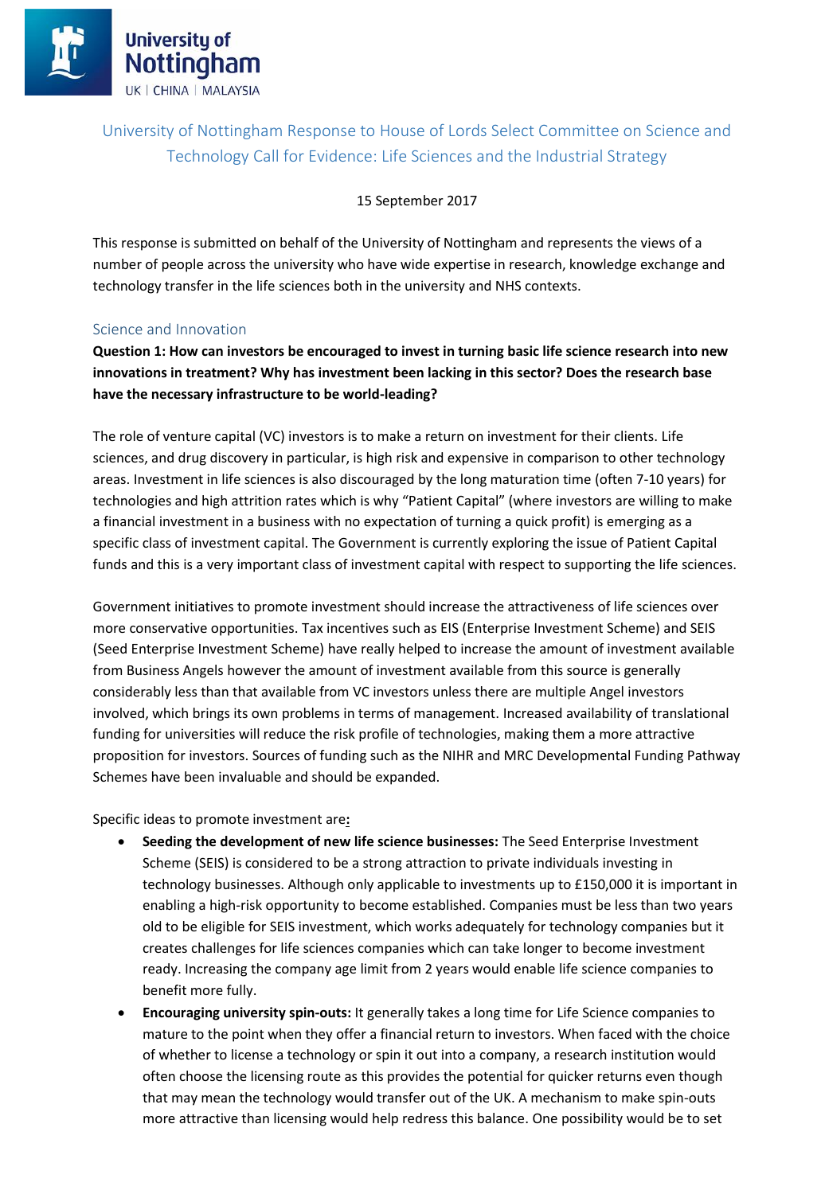## University of Nottingham Response to House of Lords Select Committee on Science and Technology Call for Evidence: Life Sciences and the Industrial Strategy

15 September 2017

This response is submitted on behalf of the University of Nottingham and represents the views of a number of people across the university who have wide expertise in research, knowledge exchange and technology transfer in the life sciences both in the university and NHS contexts.

#### Science and Innovation

**Question 1: How can investors be encouraged to invest in turning basic life science research into new innovations in treatment? Why has investment been lacking in this sector? Does the research base have the necessary infrastructure to be world-leading?** 

The role of venture capital (VC) investors is to make a return on investment for their clients. Life sciences, and drug discovery in particular, is high risk and expensive in comparison to other technology areas. Investment in life sciences is also discouraged by the long maturation time (often 7-10 years) for technologies and high attrition rates which is why "Patient Capital" (where investors are willing to make a financial investment in a business with no expectation of turning a quick profit) is emerging as a specific class of investment capital. The Government is currently exploring the issue of Patient Capital funds and this is a very important class of investment capital with respect to supporting the life sciences.

Government initiatives to promote investment should increase the attractiveness of life sciences over more conservative opportunities. Tax incentives such as EIS (Enterprise Investment Scheme) and SEIS (Seed Enterprise Investment Scheme) have really helped to increase the amount of investment available from Business Angels however the amount of investment available from this source is generally considerably less than that available from VC investors unless there are multiple Angel investors involved, which brings its own problems in terms of management. Increased availability of translational funding for universities will reduce the risk profile of technologies, making them a more attractive proposition for investors. Sources of funding such as the NIHR and MRC Developmental Funding Pathway Schemes have been invaluable and should be expanded.

Specific ideas to promote investment are**:**

- **Seeding the development of new life science businesses:** The Seed Enterprise Investment Scheme (SEIS) is considered to be a strong attraction to private individuals investing in technology businesses. Although only applicable to investments up to £150,000 it is important in enabling a high-risk opportunity to become established. Companies must be less than two years old to be eligible for SEIS investment, which works adequately for technology companies but it creates challenges for life sciences companies which can take longer to become investment ready. Increasing the company age limit from 2 years would enable life science companies to benefit more fully.
- **Encouraging university spin-outs:** It generally takes a long time for Life Science companies to mature to the point when they offer a financial return to investors. When faced with the choice of whether to license a technology or spin it out into a company, a research institution would often choose the licensing route as this provides the potential for quicker returns even though that may mean the technology would transfer out of the UK. A mechanism to make spin-outs more attractive than licensing would help redress this balance. One possibility would be to set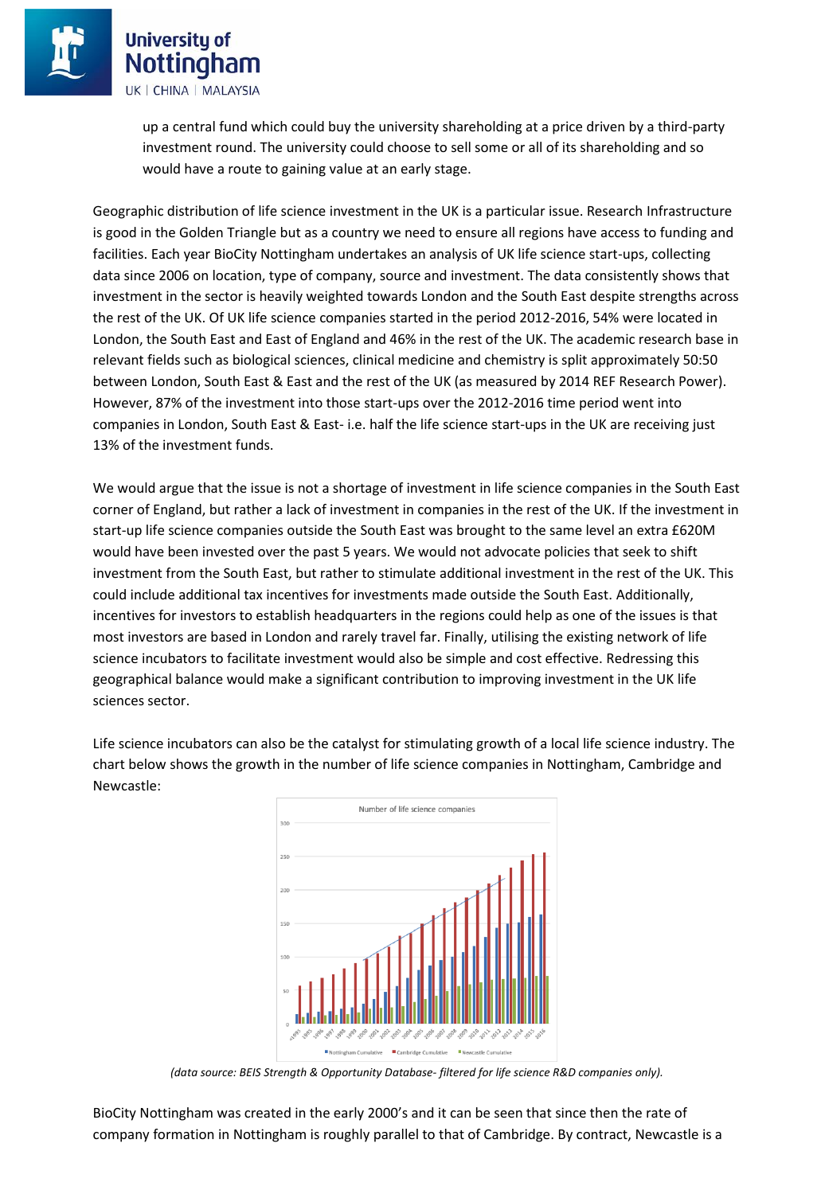> up a central fund which could buy the university shareholding at a price driven by a third-party investment round. The university could choose to sell some or all of its shareholding and so would have a route to gaining value at an early stage.

Geographic distribution of life science investment in the UK is a particular issue. Research Infrastructure is good in the Golden Triangle but as a country we need to ensure all regions have access to funding and facilities. Each year BioCity Nottingham undertakes an analysis of UK life science start-ups, collecting data since 2006 on location, type of company, source and investment. The data consistently shows that investment in the sector is heavily weighted towards London and the South East despite strengths across the rest of the UK. Of UK life science companies started in the period 2012-2016, 54% were located in London, the South East and East of England and 46% in the rest of the UK. The academic research base in relevant fields such as biological sciences, clinical medicine and chemistry is split approximately 50:50 between London, South East & East and the rest of the UK (as measured by 2014 REF Research Power). However, 87% of the investment into those start-ups over the 2012-2016 time period went into companies in London, South East & East- i.e. half the life science start-ups in the UK are receiving just 13% of the investment funds.

We would argue that the issue is not a shortage of investment in life science companies in the South East corner of England, but rather a lack of investment in companies in the rest of the UK. If the investment in start-up life science companies outside the South East was brought to the same level an extra £620M would have been invested over the past 5 years. We would not advocate policies that seek to shift investment from the South East, but rather to stimulate additional investment in the rest of the UK. This could include additional tax incentives for investments made outside the South East. Additionally, incentives for investors to establish headquarters in the regions could help as one of the issues is that most investors are based in London and rarely travel far. Finally, utilising the existing network of life science incubators to facilitate investment would also be simple and cost effective. Redressing this geographical balance would make a significant contribution to improving investment in the UK life sciences sector.

Life science incubators can also be the catalyst for stimulating growth of a local life science industry. The chart below shows the growth in the number of life science companies in Nottingham, Cambridge and Newcastle:



*(data source: BEIS Strength & Opportunity Database- filtered for life science R&D companies only).*

BioCity Nottingham was created in the early 2000's and it can be seen that since then the rate of company formation in Nottingham is roughly parallel to that of Cambridge. By contract, Newcastle is a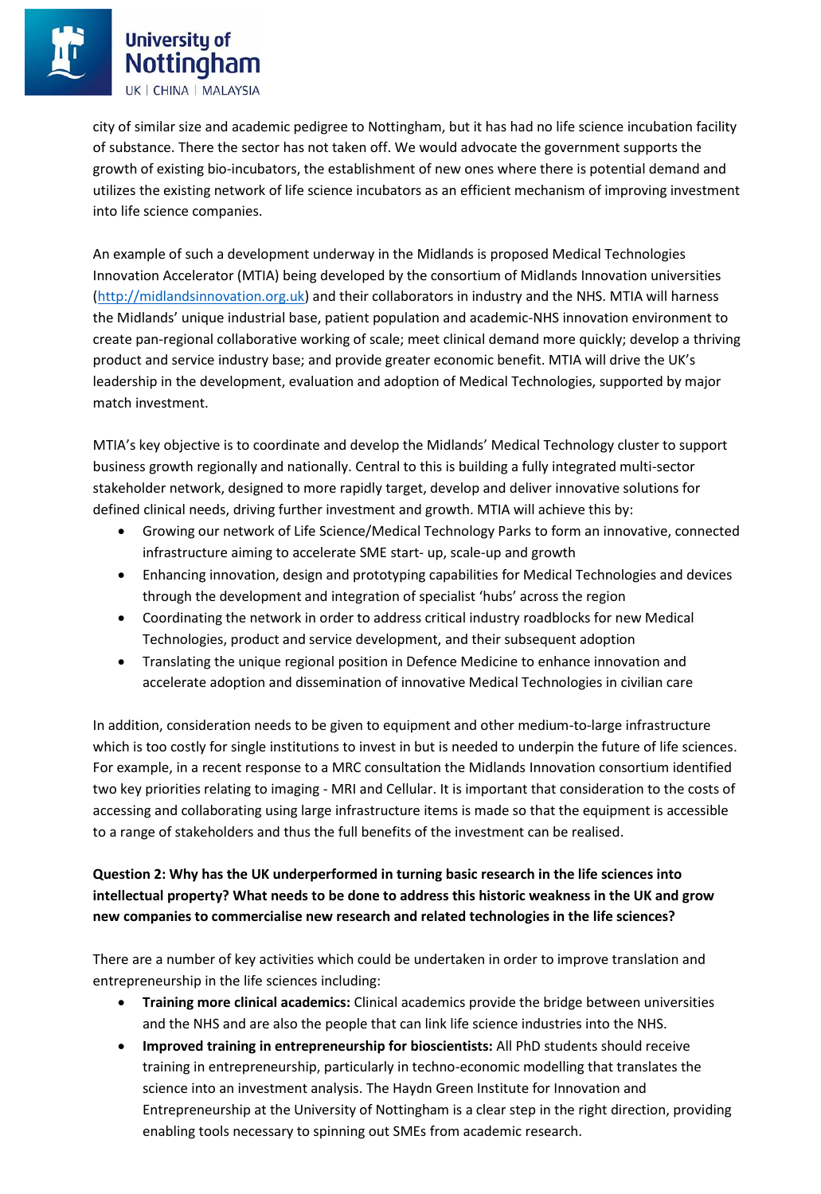city of similar size and academic pedigree to Nottingham, but it has had no life science incubation facility of substance. There the sector has not taken off. We would advocate the government supports the growth of existing bio-incubators, the establishment of new ones where there is potential demand and utilizes the existing network of life science incubators as an efficient mechanism of improving investment into life science companies.

An example of such a development underway in the Midlands is proposed Medical Technologies Innovation Accelerator (MTIA) being developed by the consortium of Midlands Innovation universities [\(http://midlandsinnovation.org.uk\)](http://midlandsinnovation.org.uk/) and their collaborators in industry and the NHS. MTIA will harness the Midlands' unique industrial base, patient population and academic-NHS innovation environment to create pan-regional collaborative working of scale; meet clinical demand more quickly; develop a thriving product and service industry base; and provide greater economic benefit. MTIA will drive the UK's leadership in the development, evaluation and adoption of Medical Technologies, supported by major match investment.

MTIA's key objective is to coordinate and develop the Midlands' Medical Technology cluster to support business growth regionally and nationally. Central to this is building a fully integrated multi-sector stakeholder network, designed to more rapidly target, develop and deliver innovative solutions for defined clinical needs, driving further investment and growth. MTIA will achieve this by:

- Growing our network of Life Science/Medical Technology Parks to form an innovative, connected infrastructure aiming to accelerate SME start- up, scale-up and growth
- Enhancing innovation, design and prototyping capabilities for Medical Technologies and devices through the development and integration of specialist 'hubs' across the region
- Coordinating the network in order to address critical industry roadblocks for new Medical Technologies, product and service development, and their subsequent adoption
- Translating the unique regional position in Defence Medicine to enhance innovation and accelerate adoption and dissemination of innovative Medical Technologies in civilian care

In addition, consideration needs to be given to equipment and other medium-to-large infrastructure which is too costly for single institutions to invest in but is needed to underpin the future of life sciences. For example, in a recent response to a MRC consultation the Midlands Innovation consortium identified two key priorities relating to imaging - MRI and Cellular. It is important that consideration to the costs of accessing and collaborating using large infrastructure items is made so that the equipment is accessible to a range of stakeholders and thus the full benefits of the investment can be realised.

## **Question 2: Why has the UK underperformed in turning basic research in the life sciences into intellectual property? What needs to be done to address this historic weakness in the UK and grow new companies to commercialise new research and related technologies in the life sciences?**

There are a number of key activities which could be undertaken in order to improve translation and entrepreneurship in the life sciences including:

- **Training more clinical academics:** Clinical academics provide the bridge between universities and the NHS and are also the people that can link life science industries into the NHS.
- **Improved training in entrepreneurship for bioscientists:** All PhD students should receive training in entrepreneurship, particularly in techno-economic modelling that translates the science into an investment analysis. The Haydn Green Institute for Innovation and Entrepreneurship at the University of Nottingham is a clear step in the right direction, providing enabling tools necessary to spinning out SMEs from academic research.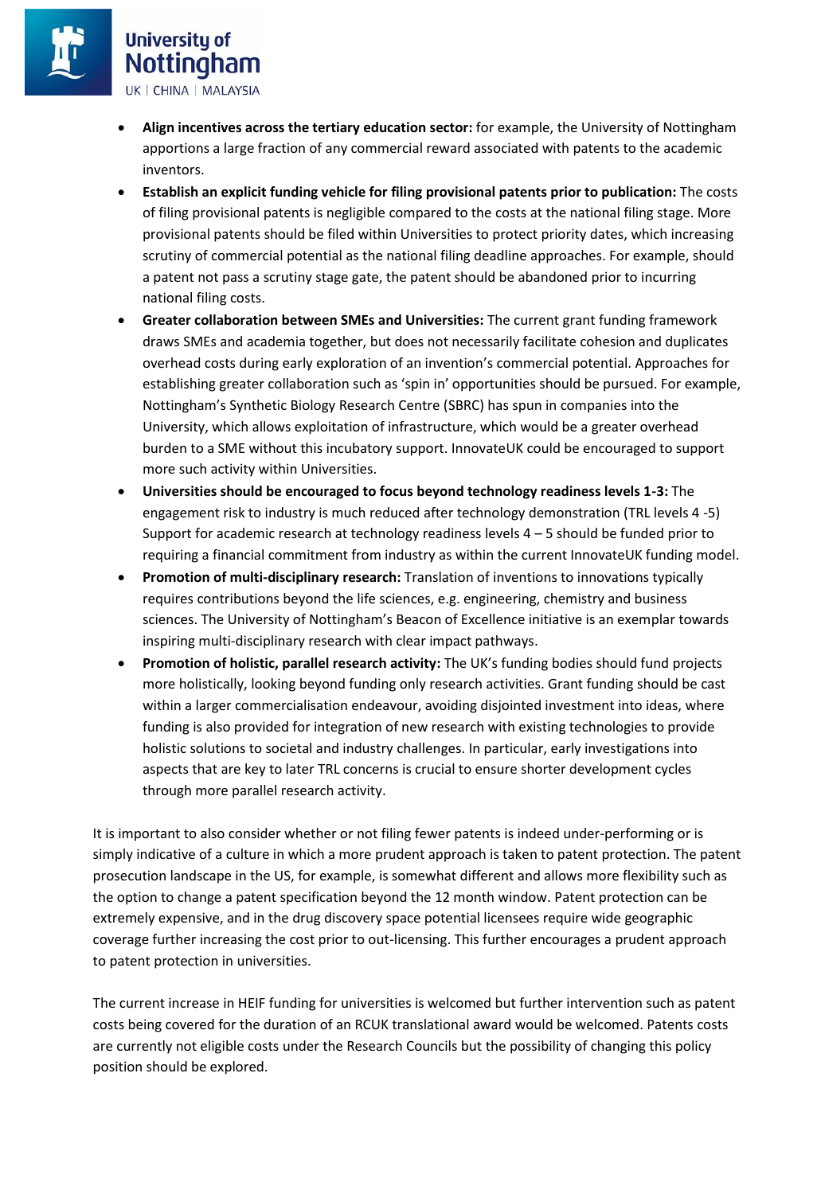# **University of** Nottingham

UK | CHINA | MALAYSIA

- **Align incentives across the tertiary education sector:** for example, the University of Nottingham apportions a large fraction of any commercial reward associated with patents to the academic inventors.
- **Establish an explicit funding vehicle for filing provisional patents prior to publication:** The costs of filing provisional patents is negligible compared to the costs at the national filing stage. More provisional patents should be filed within Universities to protect priority dates, which increasing scrutiny of commercial potential as the national filing deadline approaches. For example, should a patent not pass a scrutiny stage gate, the patent should be abandoned prior to incurring national filing costs.
- **Greater collaboration between SMEs and Universities:** The current grant funding framework draws SMEs and academia together, but does not necessarily facilitate cohesion and duplicates overhead costs during early exploration of an invention's commercial potential. Approaches for establishing greater collaboration such as 'spin in' opportunities should be pursued. For example, Nottingham's Synthetic Biology Research Centre (SBRC) has spun in companies into the University, which allows exploitation of infrastructure, which would be a greater overhead burden to a SME without this incubatory support. InnovateUK could be encouraged to support more such activity within Universities.
- **Universities should be encouraged to focus beyond technology readiness levels 1-3:** The engagement risk to industry is much reduced after technology demonstration (TRL levels 4 -5) Support for academic research at technology readiness levels 4 – 5 should be funded prior to requiring a financial commitment from industry as within the current InnovateUK funding model.
- **Promotion of multi-disciplinary research:** Translation of inventions to innovations typically requires contributions beyond the life sciences, e.g. engineering, chemistry and business sciences. The University of Nottingham's Beacon of Excellence initiative is an exemplar towards inspiring multi-disciplinary research with clear impact pathways.
- **Promotion of holistic, parallel research activity:** The UK's funding bodies should fund projects more holistically, looking beyond funding only research activities. Grant funding should be cast within a larger commercialisation endeavour, avoiding disjointed investment into ideas, where funding is also provided for integration of new research with existing technologies to provide holistic solutions to societal and industry challenges. In particular, early investigations into aspects that are key to later TRL concerns is crucial to ensure shorter development cycles through more parallel research activity.

It is important to also consider whether or not filing fewer patents is indeed under-performing or is simply indicative of a culture in which a more prudent approach is taken to patent protection. The patent prosecution landscape in the US, for example, is somewhat different and allows more flexibility such as the option to change a patent specification beyond the 12 month window. Patent protection can be extremely expensive, and in the drug discovery space potential licensees require wide geographic coverage further increasing the cost prior to out-licensing. This further encourages a prudent approach to patent protection in universities.

The current increase in HEIF funding for universities is welcomed but further intervention such as patent costs being covered for the duration of an RCUK translational award would be welcomed. Patents costs are currently not eligible costs under the Research Councils but the possibility of changing this policy position should be explored.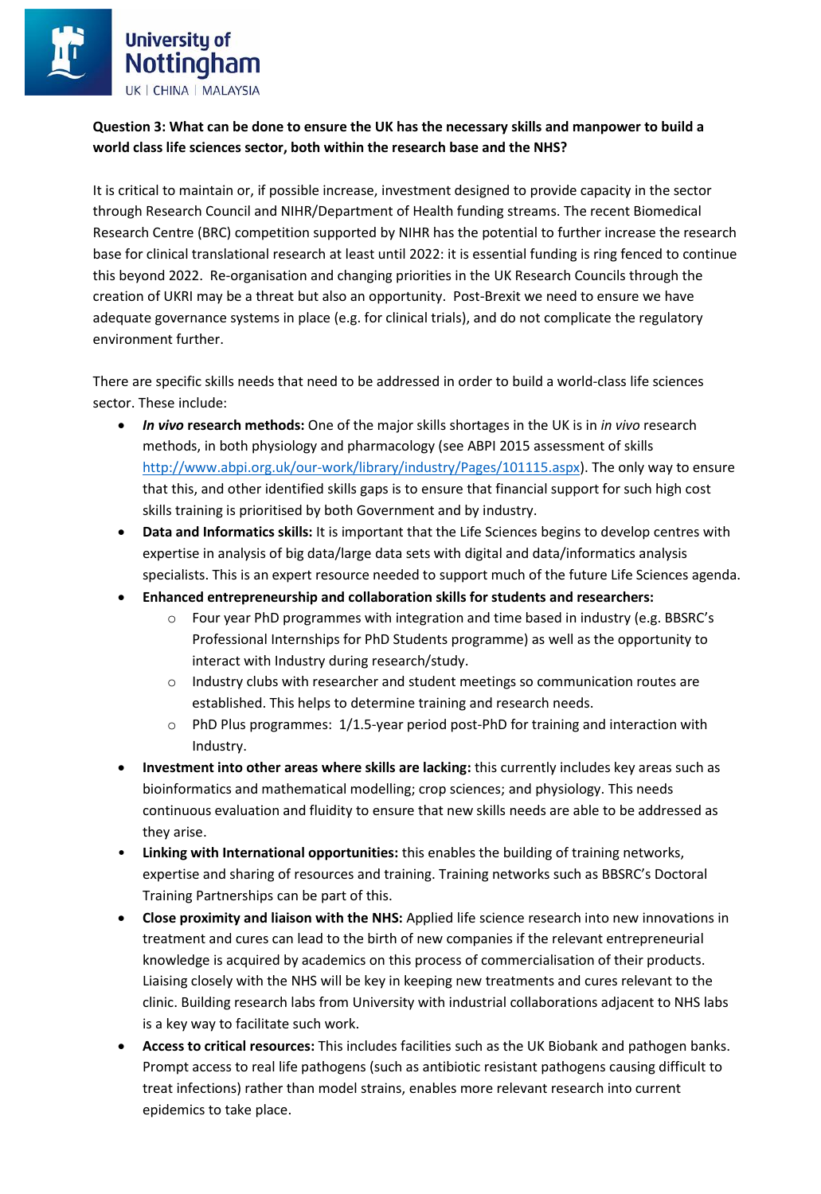### **Question 3: What can be done to ensure the UK has the necessary skills and manpower to build a world class life sciences sector, both within the research base and the NHS?**

It is critical to maintain or, if possible increase, investment designed to provide capacity in the sector through Research Council and NIHR/Department of Health funding streams. The recent Biomedical Research Centre (BRC) competition supported by NIHR has the potential to further increase the research base for clinical translational research at least until 2022: it is essential funding is ring fenced to continue this beyond 2022. Re-organisation and changing priorities in the UK Research Councils through the creation of UKRI may be a threat but also an opportunity. Post-Brexit we need to ensure we have adequate governance systems in place (e.g. for clinical trials), and do not complicate the regulatory environment further.

There are specific skills needs that need to be addressed in order to build a world-class life sciences sector. These include:

- *In vivo* **research methods:** One of the major skills shortages in the UK is in *in vivo* research methods, in both physiology and pharmacology (see ABPI 2015 assessment of skills [http://www.abpi.org.uk/our-work/library/industry/Pages/101115.aspx\)](http://www.abpi.org.uk/our-work/library/industry/Pages/101115.aspx). The only way to ensure that this, and other identified skills gaps is to ensure that financial support for such high cost skills training is prioritised by both Government and by industry.
- **Data and Informatics skills:** It is important that the Life Sciences begins to develop centres with expertise in analysis of big data/large data sets with digital and data/informatics analysis specialists. This is an expert resource needed to support much of the future Life Sciences agenda.
- **Enhanced entrepreneurship and collaboration skills for students and researchers:**
	- $\circ$  Four year PhD programmes with integration and time based in industry (e.g. BBSRC's Professional Internships for PhD Students programme) as well as the opportunity to interact with Industry during research/study.
	- o Industry clubs with researcher and student meetings so communication routes are established. This helps to determine training and research needs.
	- $\circ$  PhD Plus programmes:  $1/1.5$ -year period post-PhD for training and interaction with Industry.
- **Investment into other areas where skills are lacking:** this currently includes key areas such as bioinformatics and mathematical modelling; crop sciences; and physiology. This needs continuous evaluation and fluidity to ensure that new skills needs are able to be addressed as they arise.
- **Linking with International opportunities:** this enables the building of training networks, expertise and sharing of resources and training. Training networks such as BBSRC's Doctoral Training Partnerships can be part of this.
- **Close proximity and liaison with the NHS:** Applied life science research into new innovations in treatment and cures can lead to the birth of new companies if the relevant entrepreneurial knowledge is acquired by academics on this process of commercialisation of their products. Liaising closely with the NHS will be key in keeping new treatments and cures relevant to the clinic. Building research labs from University with industrial collaborations adjacent to NHS labs is a key way to facilitate such work.
- **Access to critical resources:** This includes facilities such as the UK Biobank and pathogen banks. Prompt access to real life pathogens (such as antibiotic resistant pathogens causing difficult to treat infections) rather than model strains, enables more relevant research into current epidemics to take place.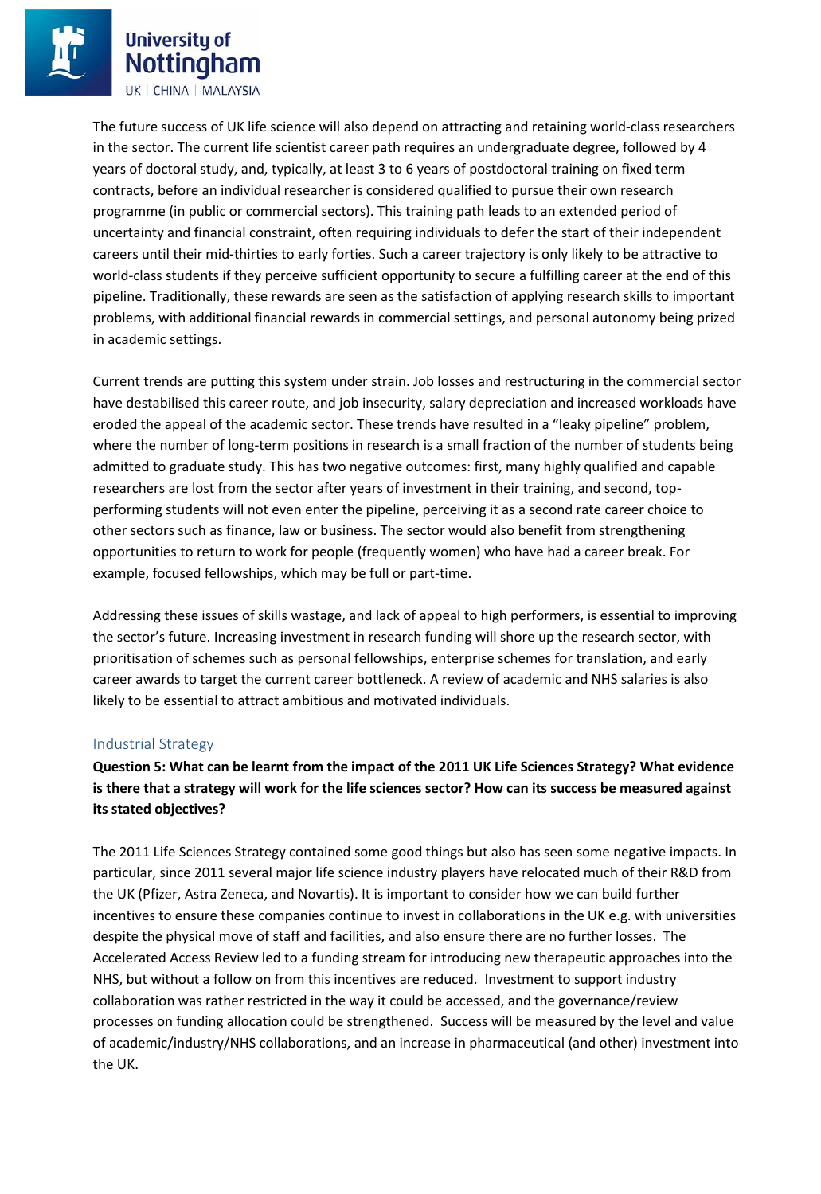The future success of UK life science will also depend on attracting and retaining world-class researchers in the sector. The current life scientist career path requires an undergraduate degree, followed by 4 years of doctoral study, and, typically, at least 3 to 6 years of postdoctoral training on fixed term contracts, before an individual researcher is considered qualified to pursue their own research programme (in public or commercial sectors). This training path leads to an extended period of uncertainty and financial constraint, often requiring individuals to defer the start of their independent careers until their mid-thirties to early forties. Such a career trajectory is only likely to be attractive to world-class students if they perceive sufficient opportunity to secure a fulfilling career at the end of this pipeline. Traditionally, these rewards are seen as the satisfaction of applying research skills to important problems, with additional financial rewards in commercial settings, and personal autonomy being prized in academic settings.

Current trends are putting this system under strain. Job losses and restructuring in the commercial sector have destabilised this career route, and job insecurity, salary depreciation and increased workloads have eroded the appeal of the academic sector. These trends have resulted in a "leaky pipeline" problem, where the number of long-term positions in research is a small fraction of the number of students being admitted to graduate study. This has two negative outcomes: first, many highly qualified and capable researchers are lost from the sector after years of investment in their training, and second, topperforming students will not even enter the pipeline, perceiving it as a second rate career choice to other sectors such as finance, law or business. The sector would also benefit from strengthening opportunities to return to work for people (frequently women) who have had a career break. For example, focused fellowships, which may be full or part-time.

Addressing these issues of skills wastage, and lack of appeal to high performers, is essential to improving the sector's future. Increasing investment in research funding will shore up the research sector, with prioritisation of schemes such as personal fellowships, enterprise schemes for translation, and early career awards to target the current career bottleneck. A review of academic and NHS salaries is also likely to be essential to attract ambitious and motivated individuals.

#### Industrial Strategy

**Question 5: What can be learnt from the impact of the 2011 UK Life Sciences Strategy? What evidence is there that a strategy will work for the life sciences sector? How can its success be measured against its stated objectives?** 

The 2011 Life Sciences Strategy contained some good things but also has seen some negative impacts. In particular, since 2011 several major life science industry players have relocated much of their R&D from the UK (Pfizer, Astra Zeneca, and Novartis). It is important to consider how we can build further incentives to ensure these companies continue to invest in collaborations in the UK e.g. with universities despite the physical move of staff and facilities, and also ensure there are no further losses. The Accelerated Access Review led to a funding stream for introducing new therapeutic approaches into the NHS, but without a follow on from this incentives are reduced. Investment to support industry collaboration was rather restricted in the way it could be accessed, and the governance/review processes on funding allocation could be strengthened. Success will be measured by the level and value of academic/industry/NHS collaborations, and an increase in pharmaceutical (and other) investment into the UK.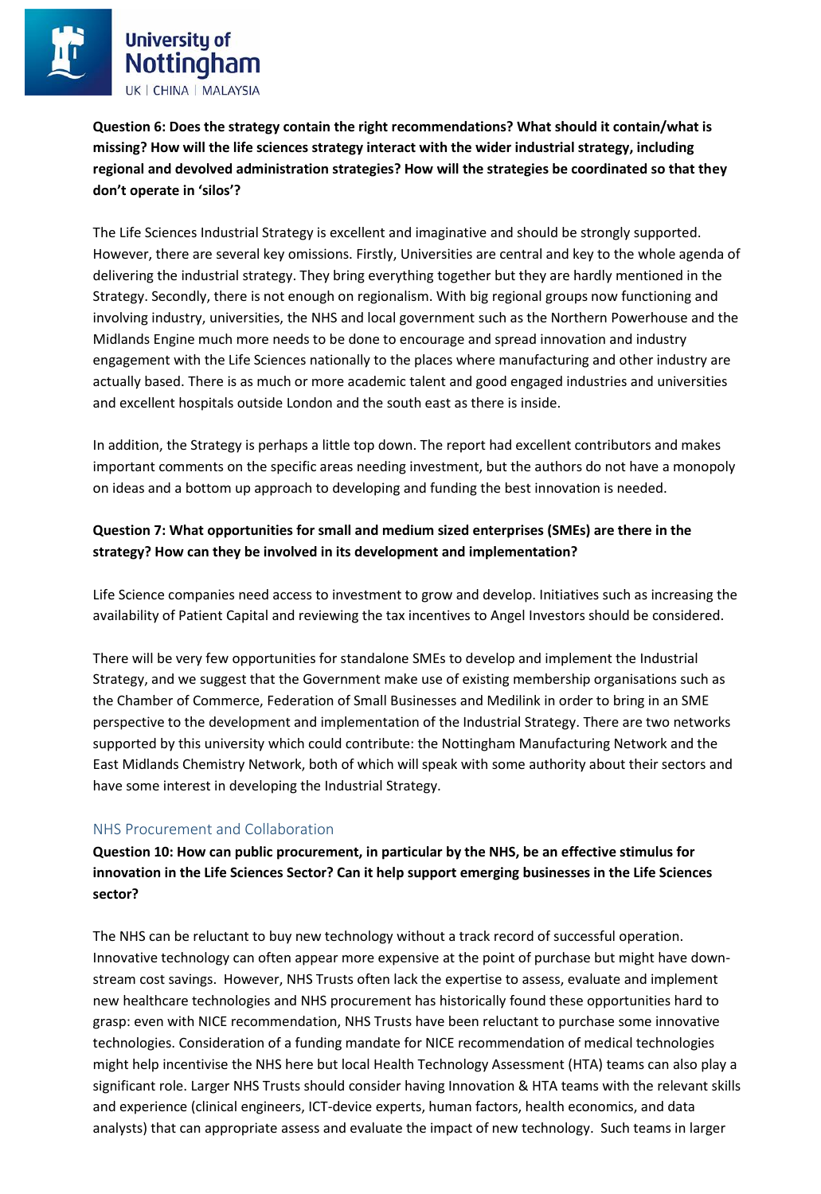**Question 6: Does the strategy contain the right recommendations? What should it contain/what is missing? How will the life sciences strategy interact with the wider industrial strategy, including regional and devolved administration strategies? How will the strategies be coordinated so that they don't operate in 'silos'?** 

The Life Sciences Industrial Strategy is excellent and imaginative and should be strongly supported. However, there are several key omissions. Firstly, Universities are central and key to the whole agenda of delivering the industrial strategy. They bring everything together but they are hardly mentioned in the Strategy. Secondly, there is not enough on regionalism. With big regional groups now functioning and involving industry, universities, the NHS and local government such as the Northern Powerhouse and the Midlands Engine much more needs to be done to encourage and spread innovation and industry engagement with the Life Sciences nationally to the places where manufacturing and other industry are actually based. There is as much or more academic talent and good engaged industries and universities and excellent hospitals outside London and the south east as there is inside.

In addition, the Strategy is perhaps a little top down. The report had excellent contributors and makes important comments on the specific areas needing investment, but the authors do not have a monopoly on ideas and a bottom up approach to developing and funding the best innovation is needed.

### **Question 7: What opportunities for small and medium sized enterprises (SMEs) are there in the strategy? How can they be involved in its development and implementation?**

Life Science companies need access to investment to grow and develop. Initiatives such as increasing the availability of Patient Capital and reviewing the tax incentives to Angel Investors should be considered.

There will be very few opportunities for standalone SMEs to develop and implement the Industrial Strategy, and we suggest that the Government make use of existing membership organisations such as the Chamber of Commerce, Federation of Small Businesses and Medilink in order to bring in an SME perspective to the development and implementation of the Industrial Strategy. There are two networks supported by this university which could contribute: the Nottingham Manufacturing Network and the East Midlands Chemistry Network, both of which will speak with some authority about their sectors and have some interest in developing the Industrial Strategy.

### NHS Procurement and Collaboration

**Question 10: How can public procurement, in particular by the NHS, be an effective stimulus for innovation in the Life Sciences Sector? Can it help support emerging businesses in the Life Sciences sector?** 

The NHS can be reluctant to buy new technology without a track record of successful operation. Innovative technology can often appear more expensive at the point of purchase but might have downstream cost savings. However, NHS Trusts often lack the expertise to assess, evaluate and implement new healthcare technologies and NHS procurement has historically found these opportunities hard to grasp: even with NICE recommendation, NHS Trusts have been reluctant to purchase some innovative technologies. Consideration of a funding mandate for NICE recommendation of medical technologies might help incentivise the NHS here but local Health Technology Assessment (HTA) teams can also play a significant role. Larger NHS Trusts should consider having Innovation & HTA teams with the relevant skills and experience (clinical engineers, ICT-device experts, human factors, health economics, and data analysts) that can appropriate assess and evaluate the impact of new technology. Such teams in larger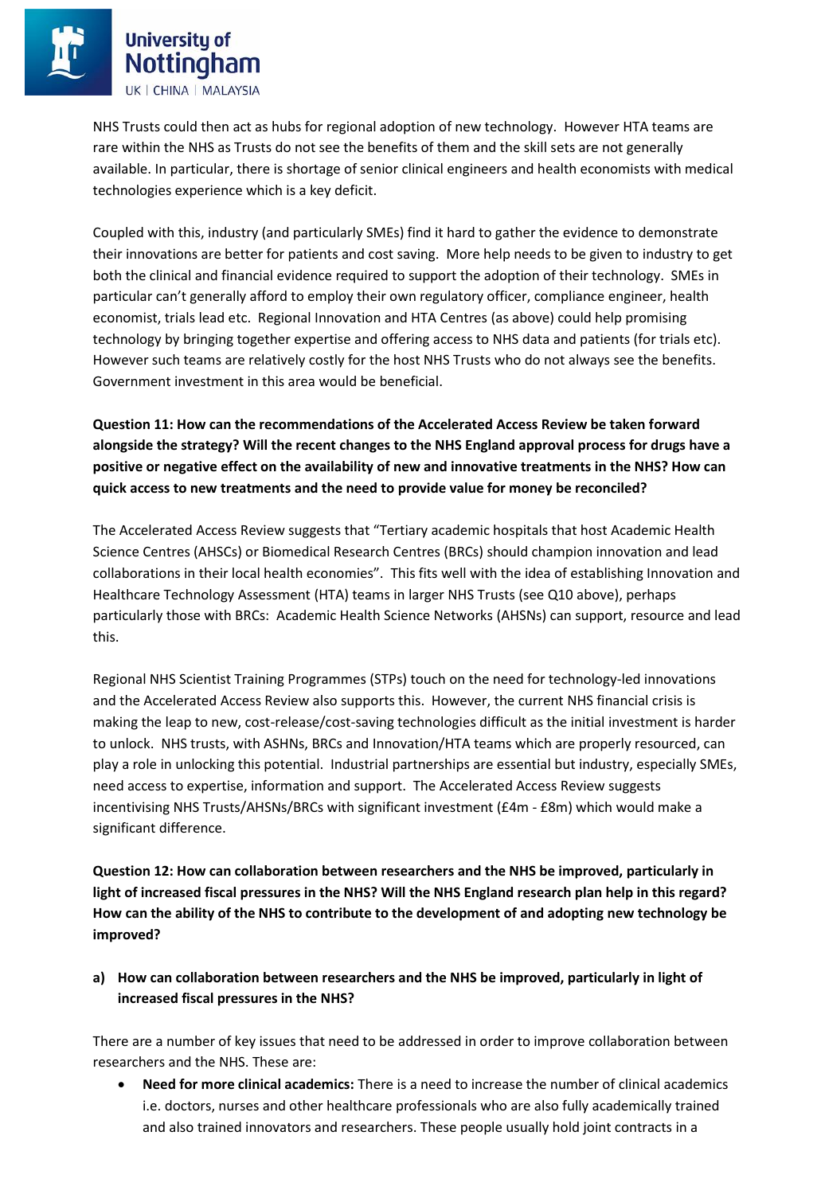NHS Trusts could then act as hubs for regional adoption of new technology. However HTA teams are rare within the NHS as Trusts do not see the benefits of them and the skill sets are not generally available. In particular, there is shortage of senior clinical engineers and health economists with medical technologies experience which is a key deficit.

Coupled with this, industry (and particularly SMEs) find it hard to gather the evidence to demonstrate their innovations are better for patients and cost saving. More help needs to be given to industry to get both the clinical and financial evidence required to support the adoption of their technology. SMEs in particular can't generally afford to employ their own regulatory officer, compliance engineer, health economist, trials lead etc. Regional Innovation and HTA Centres (as above) could help promising technology by bringing together expertise and offering access to NHS data and patients (for trials etc). However such teams are relatively costly for the host NHS Trusts who do not always see the benefits. Government investment in this area would be beneficial.

**Question 11: How can the recommendations of the Accelerated Access Review be taken forward alongside the strategy? Will the recent changes to the NHS England approval process for drugs have a positive or negative effect on the availability of new and innovative treatments in the NHS? How can quick access to new treatments and the need to provide value for money be reconciled?** 

The Accelerated Access Review suggests that "Tertiary academic hospitals that host Academic Health Science Centres (AHSCs) or Biomedical Research Centres (BRCs) should champion innovation and lead collaborations in their local health economies". This fits well with the idea of establishing Innovation and Healthcare Technology Assessment (HTA) teams in larger NHS Trusts (see Q10 above), perhaps particularly those with BRCs: Academic Health Science Networks (AHSNs) can support, resource and lead this.

Regional NHS Scientist Training Programmes (STPs) touch on the need for technology-led innovations and the Accelerated Access Review also supports this. However, the current NHS financial crisis is making the leap to new, cost-release/cost-saving technologies difficult as the initial investment is harder to unlock. NHS trusts, with ASHNs, BRCs and Innovation/HTA teams which are properly resourced, can play a role in unlocking this potential. Industrial partnerships are essential but industry, especially SMEs, need access to expertise, information and support. The Accelerated Access Review suggests incentivising NHS Trusts/AHSNs/BRCs with significant investment (£4m - £8m) which would make a significant difference.

**Question 12: How can collaboration between researchers and the NHS be improved, particularly in light of increased fiscal pressures in the NHS? Will the NHS England research plan help in this regard? How can the ability of the NHS to contribute to the development of and adopting new technology be improved?** 

### **a) How can collaboration between researchers and the NHS be improved, particularly in light of increased fiscal pressures in the NHS?**

There are a number of key issues that need to be addressed in order to improve collaboration between researchers and the NHS. These are:

 **Need for more clinical academics:** There is a need to increase the number of clinical academics i.e. doctors, nurses and other healthcare professionals who are also fully academically trained and also trained innovators and researchers. These people usually hold joint contracts in a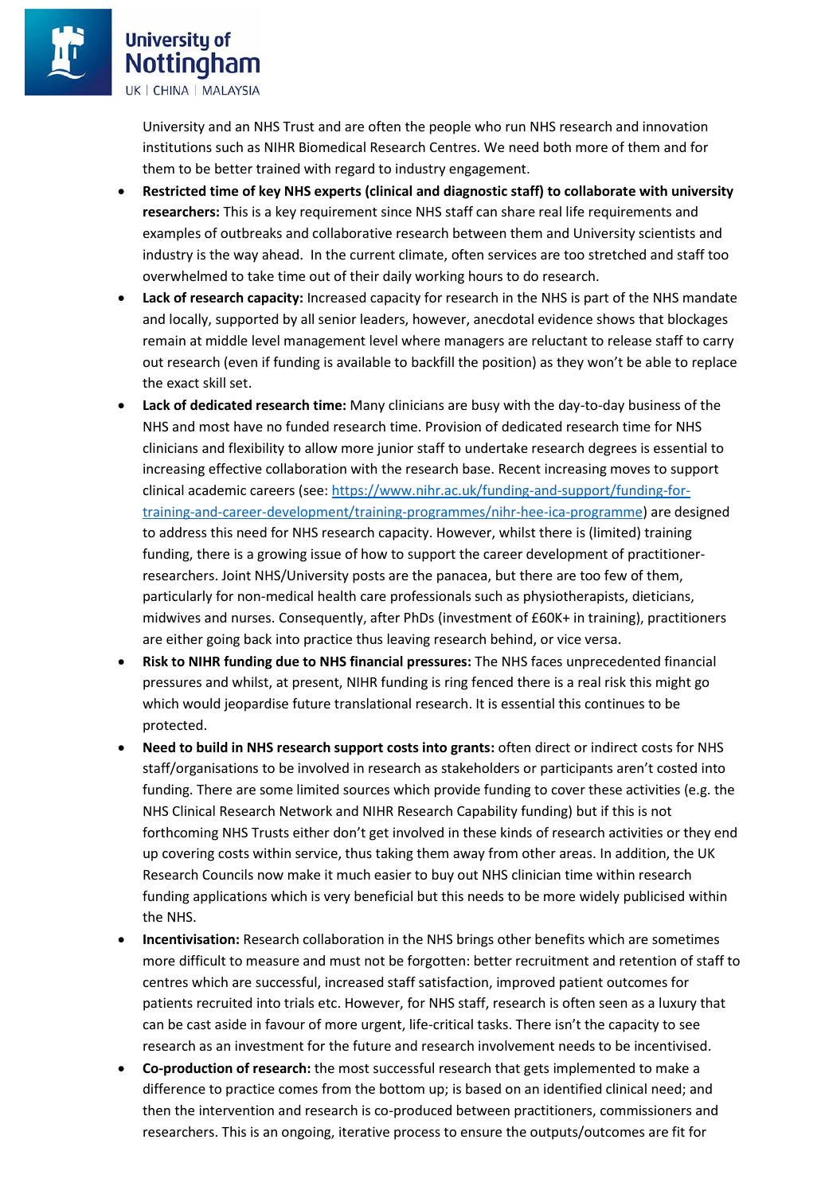University and an NHS Trust and are often the people who run NHS research and innovation institutions such as NIHR Biomedical Research Centres. We need both more of them and for them to be better trained with regard to industry engagement.

- **Restricted time of key NHS experts (clinical and diagnostic staff) to collaborate with university researchers:** This is a key requirement since NHS staff can share real life requirements and examples of outbreaks and collaborative research between them and University scientists and industry is the way ahead. In the current climate, often services are too stretched and staff too overwhelmed to take time out of their daily working hours to do research.
- **Lack of research capacity:** Increased capacity for research in the NHS is part of the NHS mandate and locally, supported by all senior leaders, however, anecdotal evidence shows that blockages remain at middle level management level where managers are reluctant to release staff to carry out research (even if funding is available to backfill the position) as they won't be able to replace the exact skill set.
- **Lack of dedicated research time:** Many clinicians are busy with the day-to-day business of the NHS and most have no funded research time. Provision of dedicated research time for NHS clinicians and flexibility to allow more junior staff to undertake research degrees is essential to increasing effective collaboration with the research base. Recent increasing moves to support clinical academic careers (see[: https://www.nihr.ac.uk/funding-and-support/funding-for](https://www.nihr.ac.uk/funding-and-support/funding-for-training-and-career-development/training-programmes/nihr-hee-ica-programme)[training-and-career-development/training-programmes/nihr-hee-ica-programme\)](https://www.nihr.ac.uk/funding-and-support/funding-for-training-and-career-development/training-programmes/nihr-hee-ica-programme) are designed to address this need for NHS research capacity. However, whilst there is (limited) training funding, there is a growing issue of how to support the career development of practitionerresearchers. Joint NHS/University posts are the panacea, but there are too few of them, particularly for non-medical health care professionals such as physiotherapists, dieticians, midwives and nurses. Consequently, after PhDs (investment of £60K+ in training), practitioners are either going back into practice thus leaving research behind, or vice versa.
- **Risk to NIHR funding due to NHS financial pressures:** The NHS faces unprecedented financial pressures and whilst, at present, NIHR funding is ring fenced there is a real risk this might go which would jeopardise future translational research. It is essential this continues to be protected.
- **Need to build in NHS research support costs into grants:** often direct or indirect costs for NHS staff/organisations to be involved in research as stakeholders or participants aren't costed into funding. There are some limited sources which provide funding to cover these activities (e.g. the NHS Clinical Research Network and NIHR Research Capability funding) but if this is not forthcoming NHS Trusts either don't get involved in these kinds of research activities or they end up covering costs within service, thus taking them away from other areas. In addition, the UK Research Councils now make it much easier to buy out NHS clinician time within research funding applications which is very beneficial but this needs to be more widely publicised within the NHS.
- **Incentivisation:** Research collaboration in the NHS brings other benefits which are sometimes more difficult to measure and must not be forgotten: better recruitment and retention of staff to centres which are successful, increased staff satisfaction, improved patient outcomes for patients recruited into trials etc. However, for NHS staff, research is often seen as a luxury that can be cast aside in favour of more urgent, life-critical tasks. There isn't the capacity to see research as an investment for the future and research involvement needs to be incentivised.
- **Co-production of research:** the most successful research that gets implemented to make a difference to practice comes from the bottom up; is based on an identified clinical need; and then the intervention and research is co-produced between practitioners, commissioners and researchers. This is an ongoing, iterative process to ensure the outputs/outcomes are fit for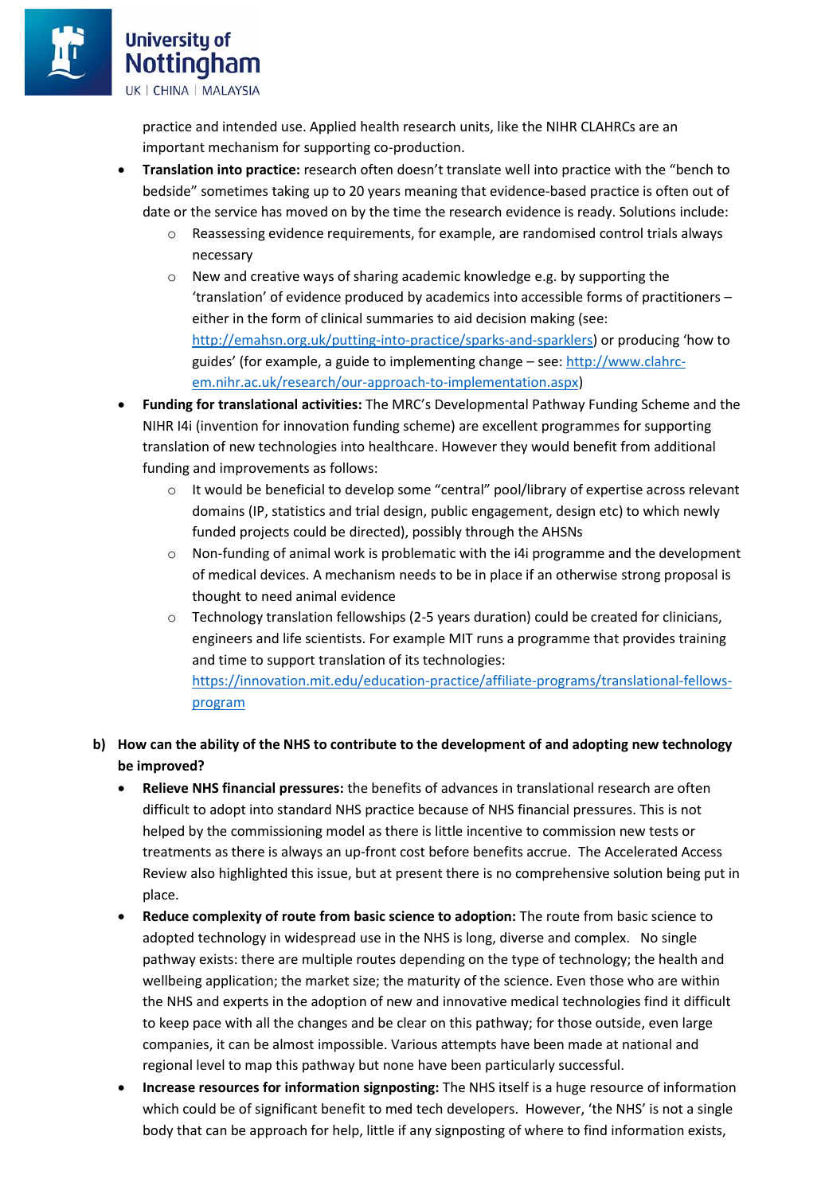practice and intended use. Applied health research units, like the NIHR CLAHRCs are an important mechanism for supporting co-production.

- **Translation into practice:** research often doesn't translate well into practice with the "bench to bedside" sometimes taking up to 20 years meaning that evidence-based practice is often out of date or the service has moved on by the time the research evidence is ready. Solutions include:
	- o Reassessing evidence requirements, for example, are randomised control trials always necessary
	- o New and creative ways of sharing academic knowledge e.g. by supporting the 'translation' of evidence produced by academics into accessible forms of practitioners – either in the form of clinical summaries to aid decision making (see: <http://emahsn.org.uk/putting-into-practice/sparks-and-sparklers>) or producing 'how to guides' (for example, a guide to implementing change – see: [http://www.clahrc](http://www.clahrc-em.nihr.ac.uk/research/our-approach-to-implementation.aspx)[em.nihr.ac.uk/research/our-approach-to-implementation.aspx\)](http://www.clahrc-em.nihr.ac.uk/research/our-approach-to-implementation.aspx)
- **Funding for translational activities:** The MRC's Developmental Pathway Funding Scheme and the NIHR I4i (invention for innovation funding scheme) are excellent programmes for supporting translation of new technologies into healthcare. However they would benefit from additional funding and improvements as follows:
	- o It would be beneficial to develop some "central" pool/library of expertise across relevant domains (IP, statistics and trial design, public engagement, design etc) to which newly funded projects could be directed), possibly through the AHSNs
	- o Non-funding of animal work is problematic with the i4i programme and the development of medical devices. A mechanism needs to be in place if an otherwise strong proposal is thought to need animal evidence
	- $\circ$  Technology translation fellowships (2-5 years duration) could be created for clinicians, engineers and life scientists. For example MIT runs a programme that provides training and time to support translation of its technologies: [https://innovation.mit.edu/education-practice/affiliate-programs/translational-fellows](https://innovation.mit.edu/education-practice/affiliate-programs/translational-fellows-program)[program](https://innovation.mit.edu/education-practice/affiliate-programs/translational-fellows-program)

### **b) How can the ability of the NHS to contribute to the development of and adopting new technology be improved?**

- **Relieve NHS financial pressures:** the benefits of advances in translational research are often difficult to adopt into standard NHS practice because of NHS financial pressures. This is not helped by the commissioning model as there is little incentive to commission new tests or treatments as there is always an up-front cost before benefits accrue. The Accelerated Access Review also highlighted this issue, but at present there is no comprehensive solution being put in place.
- **Reduce complexity of route from basic science to adoption:** The route from basic science to adopted technology in widespread use in the NHS is long, diverse and complex. No single pathway exists: there are multiple routes depending on the type of technology; the health and wellbeing application; the market size; the maturity of the science. Even those who are within the NHS and experts in the adoption of new and innovative medical technologies find it difficult to keep pace with all the changes and be clear on this pathway; for those outside, even large companies, it can be almost impossible. Various attempts have been made at national and regional level to map this pathway but none have been particularly successful.
- **Increase resources for information signposting:** The NHS itself is a huge resource of information which could be of significant benefit to med tech developers. However, 'the NHS' is not a single body that can be approach for help, little if any signposting of where to find information exists,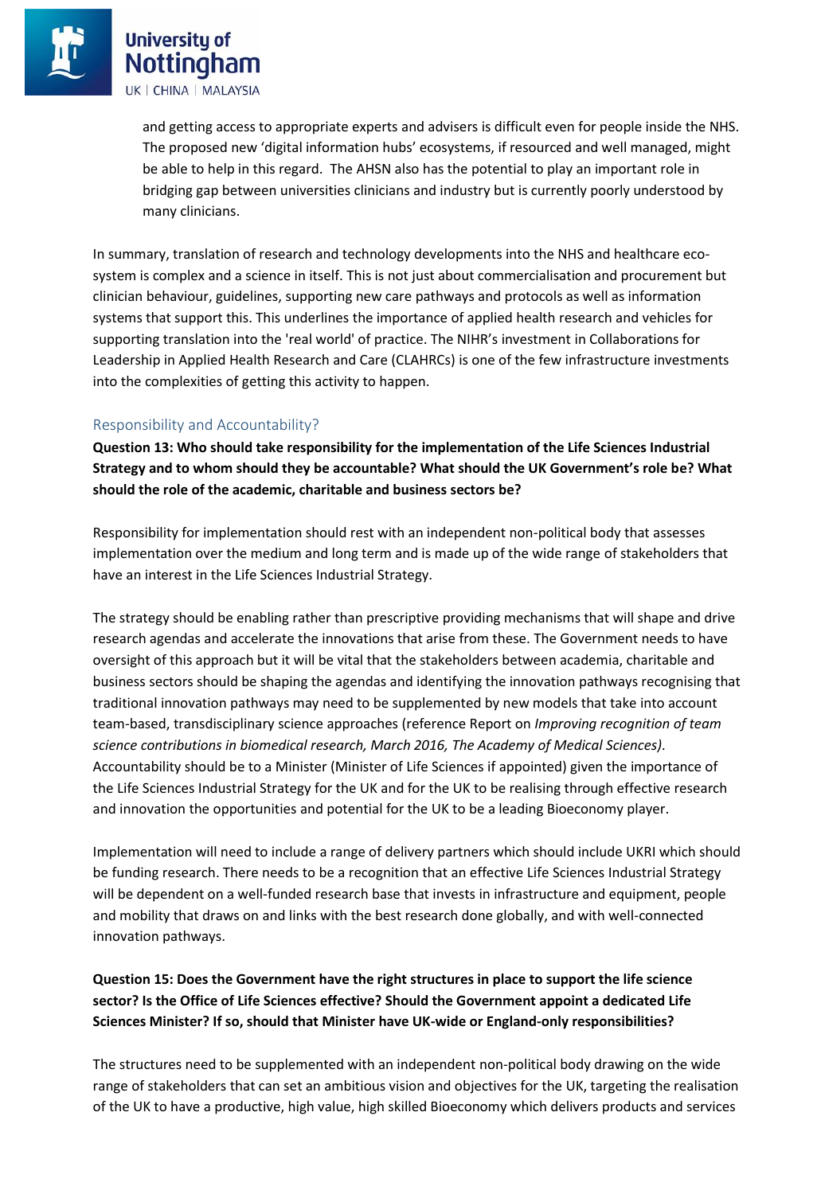> and getting access to appropriate experts and advisers is difficult even for people inside the NHS. The proposed new 'digital information hubs' ecosystems, if resourced and well managed, might be able to help in this regard. The AHSN also has the potential to play an important role in bridging gap between universities clinicians and industry but is currently poorly understood by many clinicians.

In summary, translation of research and technology developments into the NHS and healthcare ecosystem is complex and a science in itself. This is not just about commercialisation and procurement but clinician behaviour, guidelines, supporting new care pathways and protocols as well as information systems that support this. This underlines the importance of applied health research and vehicles for supporting translation into the 'real world' of practice. The NIHR's investment in Collaborations for Leadership in Applied Health Research and Care (CLAHRCs) is one of the few infrastructure investments into the complexities of getting this activity to happen.

#### Responsibility and Accountability?

**Question 13: Who should take responsibility for the implementation of the Life Sciences Industrial Strategy and to whom should they be accountable? What should the UK Government's role be? What should the role of the academic, charitable and business sectors be?** 

Responsibility for implementation should rest with an independent non-political body that assesses implementation over the medium and long term and is made up of the wide range of stakeholders that have an interest in the Life Sciences Industrial Strategy.

The strategy should be enabling rather than prescriptive providing mechanisms that will shape and drive research agendas and accelerate the innovations that arise from these. The Government needs to have oversight of this approach but it will be vital that the stakeholders between academia, charitable and business sectors should be shaping the agendas and identifying the innovation pathways recognising that traditional innovation pathways may need to be supplemented by new models that take into account team-based, transdisciplinary science approaches (reference Report on *Improving recognition of team science contributions in biomedical research, March 2016, The Academy of Medical Sciences).*  Accountability should be to a Minister (Minister of Life Sciences if appointed) given the importance of the Life Sciences Industrial Strategy for the UK and for the UK to be realising through effective research and innovation the opportunities and potential for the UK to be a leading Bioeconomy player.

Implementation will need to include a range of delivery partners which should include UKRI which should be funding research. There needs to be a recognition that an effective Life Sciences Industrial Strategy will be dependent on a well-funded research base that invests in infrastructure and equipment, people and mobility that draws on and links with the best research done globally, and with well-connected innovation pathways.

**Question 15: Does the Government have the right structures in place to support the life science sector? Is the Office of Life Sciences effective? Should the Government appoint a dedicated Life Sciences Minister? If so, should that Minister have UK-wide or England-only responsibilities?** 

The structures need to be supplemented with an independent non-political body drawing on the wide range of stakeholders that can set an ambitious vision and objectives for the UK, targeting the realisation of the UK to have a productive, high value, high skilled Bioeconomy which delivers products and services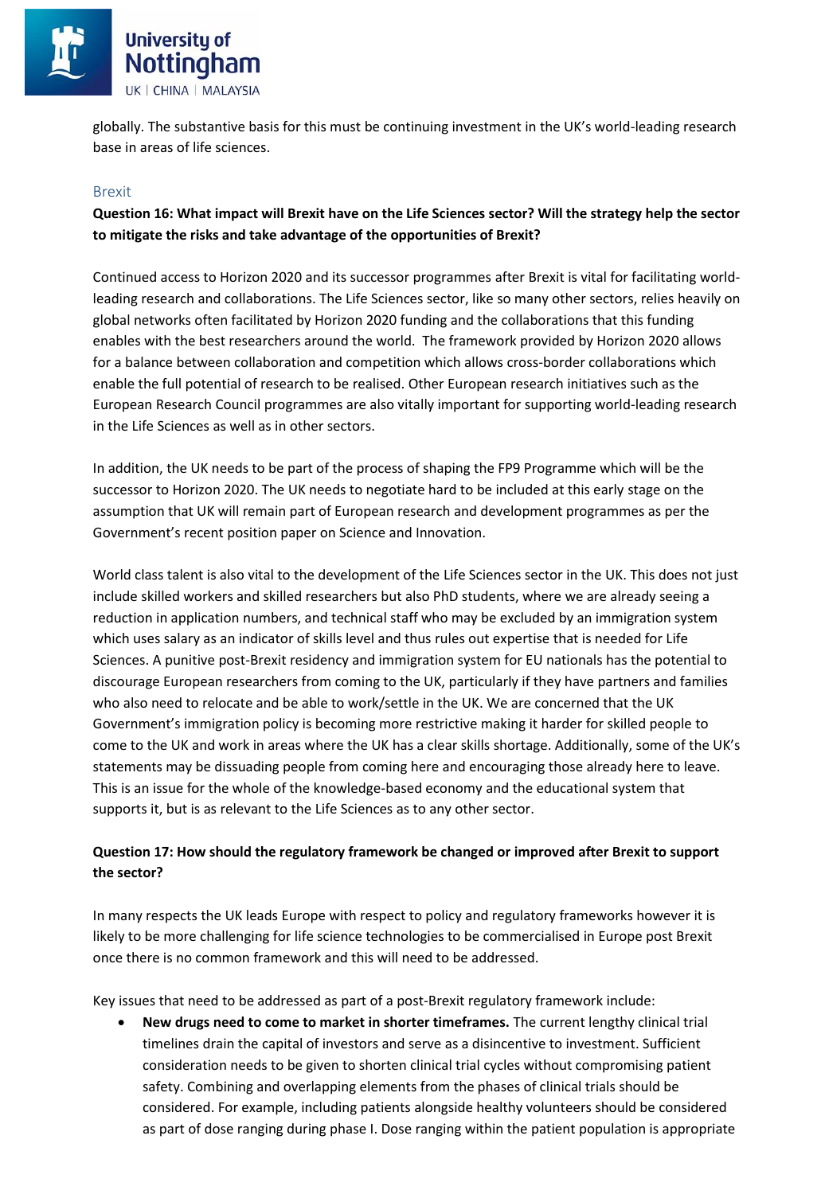

globally. The substantive basis for this must be continuing investment in the UK's world-leading research base in areas of life sciences.

#### Brexit

### **Question 16: What impact will Brexit have on the Life Sciences sector? Will the strategy help the sector to mitigate the risks and take advantage of the opportunities of Brexit?**

Continued access to Horizon 2020 and its successor programmes after Brexit is vital for facilitating worldleading research and collaborations. The Life Sciences sector, like so many other sectors, relies heavily on global networks often facilitated by Horizon 2020 funding and the collaborations that this funding enables with the best researchers around the world. The framework provided by Horizon 2020 allows for a balance between collaboration and competition which allows cross-border collaborations which enable the full potential of research to be realised. Other European research initiatives such as the European Research Council programmes are also vitally important for supporting world-leading research in the Life Sciences as well as in other sectors.

In addition, the UK needs to be part of the process of shaping the FP9 Programme which will be the successor to Horizon 2020. The UK needs to negotiate hard to be included at this early stage on the assumption that UK will remain part of European research and development programmes as per the Government's recent position paper on Science and Innovation.

World class talent is also vital to the development of the Life Sciences sector in the UK. This does not just include skilled workers and skilled researchers but also PhD students, where we are already seeing a reduction in application numbers, and technical staff who may be excluded by an immigration system which uses salary as an indicator of skills level and thus rules out expertise that is needed for Life Sciences. A punitive post-Brexit residency and immigration system for EU nationals has the potential to discourage European researchers from coming to the UK, particularly if they have partners and families who also need to relocate and be able to work/settle in the UK. We are concerned that the UK Government's immigration policy is becoming more restrictive making it harder for skilled people to come to the UK and work in areas where the UK has a clear skills shortage. Additionally, some of the UK's statements may be dissuading people from coming here and encouraging those already here to leave. This is an issue for the whole of the knowledge-based economy and the educational system that supports it, but is as relevant to the Life Sciences as to any other sector.

### **Question 17: How should the regulatory framework be changed or improved after Brexit to support the sector?**

In many respects the UK leads Europe with respect to policy and regulatory frameworks however it is likely to be more challenging for life science technologies to be commercialised in Europe post Brexit once there is no common framework and this will need to be addressed.

Key issues that need to be addressed as part of a post-Brexit regulatory framework include:

 **New drugs need to come to market in shorter timeframes.** The current lengthy clinical trial timelines drain the capital of investors and serve as a disincentive to investment. Sufficient consideration needs to be given to shorten clinical trial cycles without compromising patient safety. Combining and overlapping elements from the phases of clinical trials should be considered. For example, including patients alongside healthy volunteers should be considered as part of dose ranging during phase I. Dose ranging within the patient population is appropriate